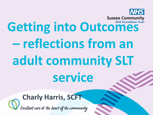

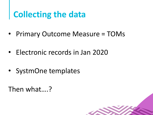# **Collecting the data**

- Primary Outcome Measure = TOMs
- Electronic records in Jan 2020
- SystmOne templates

Then what….?

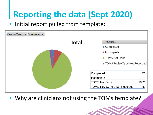# **Reporting the data (Sept 2020)**

#### • Initial report pulled from template:



• Why are clinicians not using the TOMs template?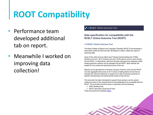### **ROOT Compatibility**

- Performance team developed additional tab on report.
- Meanwhile I worked on improving data collection!

#### **RCSLT** Online Outcome Tool

#### Data specification for compatibility with the **RCSLT Online Outcome Tool (ROOT)**

#### 1.0 RCSLT Online Outcome Tool

The Royal College of Speech and Language Therapists (RCSLT) has developed a stand-alone online tool that has been developed to collect, collate and report on outcomes data.

Users of the online tool can either input Therapy Outcome Measures (TOMs) (Enderby and John, 2015; Enderby and John, 2019) data for service users directly into the ROOT, or alternatively, data that has been extracted from databases within existing electronic systems can be uploaded into the ROOT. Both methods will enable SLTs to access the reporting functions of the tool.

Reports can be generated for individual or groups of service users and the ROOT can also aggregate data across an SLT service, enabling teams and services to evaluate the outcomes delivered, to support SLTs with monitoring outcomes for specific clinical groups and examining the impact of their service.

This document has been developed to support those opting to use the upload method and sets out the requirements for local databases to be compatible with the ROOT. This document should be read in conjunction with the following:

- ROOT Briefing Pack
- ROOT Information Governance Pack These documents are available online.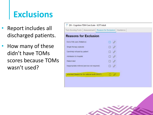### **Exclusions**

- Report includes all discharged patients.
- How many of these didn't have TOMs scores because TOMs wasn't used?

| Tom Scoring Form   Assessment   Reason for Exclusion   Guidance |  |
|-----------------------------------------------------------------|--|
| <b>Reasons for Exclusion</b>                                    |  |
| End of life care (Palliative)                                   |  |
| Single therapy episode                                          |  |
| Care/help refused by patient                                    |  |
| Admission to hospital                                           |  |
| Patient died                                                    |  |
| Inappropriate referral (service not required)                   |  |
|                                                                 |  |
| Informed Dissent for for national audit (ROOT)                  |  |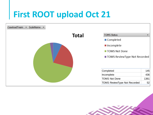### **First ROOT upload Oct 21**



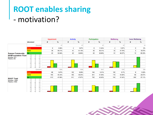#### **ROOT enables sharing** - motivation?

|                                                                                           |                                                                                                                    |                                                                 | <b>Impairment</b> |        | <b>Activity</b> |        | <b>Participation</b> |               | <b>Wellbeing</b> |        | <b>Carer Wellbeing</b> |        |
|-------------------------------------------------------------------------------------------|--------------------------------------------------------------------------------------------------------------------|-----------------------------------------------------------------|-------------------|--------|-----------------|--------|----------------------|---------------|------------------|--------|------------------------|--------|
|                                                                                           | <b>Movement</b>                                                                                                    |                                                                 | #                 | %      | #               | %      | #                    | $\frac{1}{2}$ | #                | %      | #                      | %      |
| <b>Sussex Community</b><br><b>NHSFoundation Trust</b><br>Episodes: (67)<br>Patients: (65) |                                                                                                                    | Episodes                                                        |                   | 67     |                 | 67     |                      | 67            |                  | 67     |                        | 18     |
|                                                                                           | Down                                                                                                               |                                                                 | 6                 | 8.96%  |                 | 5.97%  | 8                    | 11.94%        |                  | 5.97%  | $\mathbf{O}$           | 0%     |
|                                                                                           | <b>Same</b>                                                                                                        |                                                                 | 39                | 58.21% | 41              | 61.19% | 39                   | 58.21%        | 32               | 47.76% | 3                      | 16.67% |
|                                                                                           | Up                                                                                                                 |                                                                 | 22                | 32.84% | 22              | 32.84% | 20                   | 29.85%        | 31               | 46.27% | 15                     | 83.33% |
|                                                                                           |                                                                                                                    |                                                                 |                   |        |                 |        |                      |               |                  |        |                        |        |
|                                                                                           |                                                                                                                    |                                                                 |                   |        |                 |        |                      |               |                  |        |                        |        |
|                                                                                           |                                                                                                                    |                                                                 |                   |        |                 |        |                      |               |                  |        |                        |        |
|                                                                                           |                                                                                                                    |                                                                 |                   |        |                 |        |                      |               |                  |        |                        |        |
|                                                                                           | a a a a a a a a a a a a                                                                                            | .<br>8 8 8 8 8 8 8 8 8 8 8 8 8 8 8 8<br>2222222                 |                   |        |                 |        |                      |               |                  |        |                        |        |
| <b>ROOT Total</b><br>Episodes: (1694)<br>Patients: (1656)                                 |                                                                                                                    | Episodes                                                        |                   | 1694   |                 | 1694   |                      | 1647          |                  | 1567   |                        | 298    |
|                                                                                           | Down                                                                                                               |                                                                 | 96                | 5.67%  | 103             | 6.08%  | 104                  | 6.31%         | 105              | 6.7%   | 9                      | 3.02%  |
|                                                                                           | <b>Same</b>                                                                                                        |                                                                 | 785               | 46.34% | 780             | 46.04% | 841                  | 51.06%        | 719              | 45.88% | 89                     | 29.87% |
|                                                                                           | Up                                                                                                                 |                                                                 | 813               | 47.99% | 811             | 47.87% | 702                  | 42.62%        | 743              | 47.42% | 200                    | 67.11% |
|                                                                                           |                                                                                                                    |                                                                 |                   |        |                 |        |                      |               |                  |        |                        |        |
|                                                                                           |                                                                                                                    |                                                                 |                   |        |                 |        |                      |               |                  |        |                        |        |
|                                                                                           |                                                                                                                    |                                                                 |                   |        |                 |        |                      |               |                  |        |                        |        |
|                                                                                           |                                                                                                                    |                                                                 |                   |        |                 |        |                      |               |                  |        |                        |        |
|                                                                                           | .<br>1980 - 1980 - 1980 - 1980 - 1980 - 1980 - 1981 - 1981 - 1981 - 1981 - 1981 - 1981 - 1981 - 1981 - 1981 - 1981 | 13 a a a b a a a a a a a a a<br>2 2 2 2 2 2 2 2 2 2 2 2 2 2 2 2 |                   |        |                 |        |                      |               |                  |        |                        |        |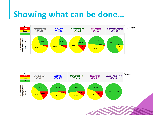#### **Showing what can be done…**



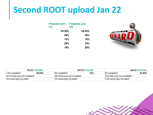#### **Second ROOT upload Jan 22**

| <b>Potential (Oct Potential (Jan</b><br>21) | 22)    |
|---------------------------------------------|--------|
| 39.50%                                      | 36.50% |
| 48%                                         | 48%    |
| 12%                                         | 16%    |
| 28%                                         | 24%    |
| 18%                                         | 28%    |



|                                 | Oct-21   Potential |                               | Jan-22 Potential |                               | <b>Apr-22 Potential</b> |
|---------------------------------|--------------------|-------------------------------|------------------|-------------------------------|-------------------------|
| ⊺7.5% completed                 | 29.00%             | 9% completed                  | $31\%$           | 9% completed                  | $31.50\%$               |
| 18.4% final score not completed |                    | 20% final score not completed |                  | 20% final score not completed |                         |
| 3% review type not stated       |                    | 2% review type not stated     |                  | 2.5% review type not stated   |                         |

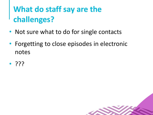## **What do staff say are the challenges?**

- Not sure what to do for single contacts
- Forgetting to close episodes in electronic notes
- ???